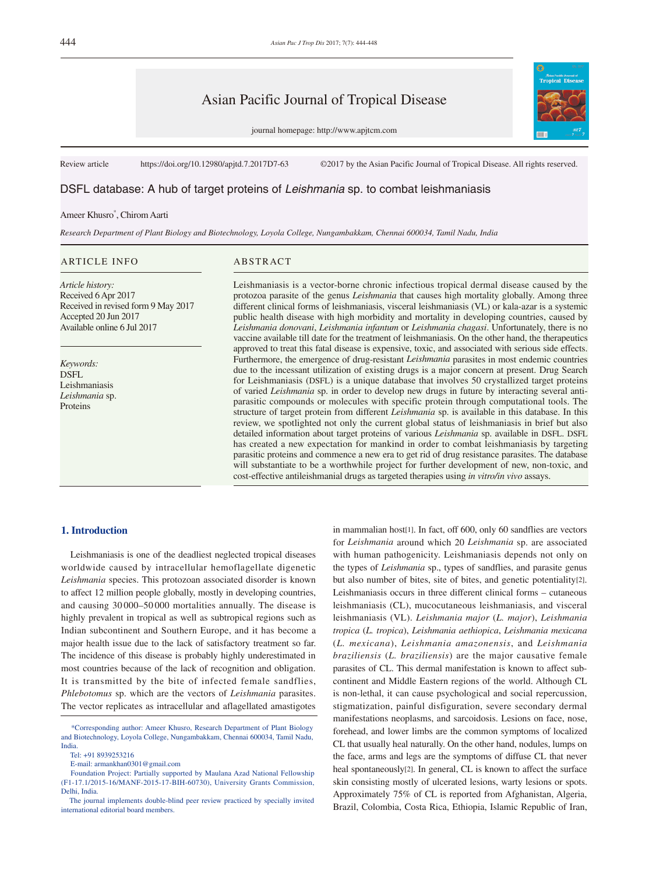# Asian Pacific Journal of Tropical Disease

journal homepage: http://www.apjtcm.com



Review article https://doi.org/10.12980/apjtd.7.2017D7-63 ©2017 by the Asian Pacific Journal of Tropical Disease. All rights reserved.

# DSFL database: A hub of target proteins of *Leishmania* sp. to combat leishmaniasis

## Ameer Khusro\* , Chirom Aarti

*Research Department of Plant Biology and Biotechnology, Loyola College, Nungambakkam, Chennai 600034, Tamil Nadu, India*

#### ARTICLE INFO ABSTRACT

*Article history:* Received 6 Apr 2017 Received in revised form 9 May 2017 Accepted 20 Jun 2017 Available online 6 Jul 2017

*Keywords:* **DSFL** Leishmaniasis *Leishmania* sp. Proteins

Leishmaniasis is a vector-borne chronic infectious tropical dermal disease caused by the protozoa parasite of the genus *Leishmania* that causes high mortality globally. Among three different clinical forms of leishmaniasis, visceral leishmaniasis (VL) or kala-azar is a systemic public health disease with high morbidity and mortality in developing countries, caused by *Leishmania donovani*, *Leishmania infantum* or *Leishmania chagasi*. Unfortunately, there is no vaccine available till date for the treatment of leishmaniasis. On the other hand, the therapeutics approved to treat this fatal disease is expensive, toxic, and associated with serious side effects. Furthermore, the emergence of drug-resistant *Leishmania* parasites in most endemic countries due to the incessant utilization of existing drugs is a major concern at present. Drug Search for Leishmaniasis (DSFL) is a unique database that involves 50 crystallized target proteins of varied *Leishmania* sp. in order to develop new drugs in future by interacting several antiparasitic compounds or molecules with specific protein through computational tools. The structure of target protein from different *Leishmania* sp. is available in this database. In this review, we spotlighted not only the current global status of leishmaniasis in brief but also detailed information about target proteins of various *Leishmania* sp. available in DSFL. DSFL has created a new expectation for mankind in order to combat leishmaniasis by targeting parasitic proteins and commence a new era to get rid of drug resistance parasites. The database will substantiate to be a worthwhile project for further development of new, non-toxic, and cost-effective antileishmanial drugs as targeted therapies using *in vitro/in vivo* assays.

### **1. Introduction**

 Leishmaniasis is one of the deadliest neglected tropical diseases worldwide caused by intracellular hemoflagellate digenetic *Leishmania* species. This protozoan associated disorder is known to affect 12 million people globally, mostly in developing countries, and causing 30 000–50 000 mortalities annually. The disease is highly prevalent in tropical as well as subtropical regions such as Indian subcontinent and Southern Europe, and it has become a major health issue due to the lack of satisfactory treatment so far. The incidence of this disease is probably highly underestimated in most countries because of the lack of recognition and obligation. It is transmitted by the bite of infected female sandflies, *Phlebotomus* sp. which are the vectors of *Leishmania* parasites. The vector replicates as intracellular and aflagellated amastigotes

Tel: +91 8939253216

in mammalian host[1]. In fact, off 600, only 60 sandflies are vectors for *Leishmania* around which 20 *Leishmania* sp. are associated with human pathogenicity. Leishmaniasis depends not only on the types of *Leishmania* sp., types of sandflies, and parasite genus but also number of bites, site of bites, and genetic potentiality[2]. Leishmaniasis occurs in three different clinical forms – cutaneous leishmaniasis (CL), mucocutaneous leishmaniasis, and visceral leishmaniasis (VL). *Leishmania major* (*L. major*), *Leishmania tropica* (*L. tropica*), *Leishmania aethiopica*, *Leishmania mexicana* (*L. mexicana*), *Leishmania amazonensis*, and *Leishmania braziliensis* (*L. braziliensis*) are the major causative female parasites of CL. This dermal manifestation is known to affect subcontinent and Middle Eastern regions of the world. Although CL is non-lethal, it can cause psychological and social repercussion, stigmatization, painful disfiguration, severe secondary dermal manifestations neoplasms, and sarcoidosis. Lesions on face, nose, forehead, and lower limbs are the common symptoms of localized CL that usually heal naturally. On the other hand, nodules, lumps on the face, arms and legs are the symptoms of diffuse CL that never heal spontaneously[2]. In general, CL is known to affect the surface skin consisting mostly of ulcerated lesions, warty lesions or spots. Approximately 75% of CL is reported from Afghanistan, Algeria, Brazil, Colombia, Costa Rica, Ethiopia, Islamic Republic of Iran,

 <sup>\*</sup>Corresponding author: Ameer Khusro, Research Department of Plant Biology and Biotechnology, Loyola College, Nungambakkam, Chennai 600034, Tamil Nadu, India.

E-mail: armankhan0301@gmail.com

Foundation Project: Partially supported by Maulana Azad National Fellowship (F1-17.1/2015-16/MANF-2015-17-BIH-60730), University Grants Commission, Delhi, India.

The journal implements double-blind peer review practiced by specially invited international editorial board members.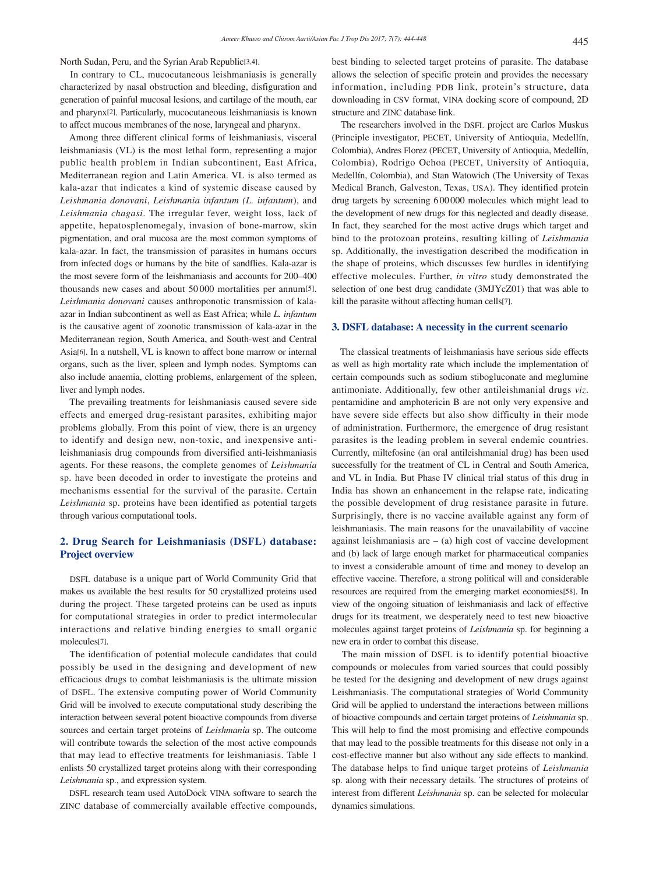North Sudan, Peru, and the Syrian Arab Republic[3,4].

 In contrary to CL, mucocutaneous leishmaniasis is generally characterized by nasal obstruction and bleeding, disfiguration and generation of painful mucosal lesions, and cartilage of the mouth, ear and pharynx[2]. Particularly, mucocutaneous leishmaniasis is known to affect mucous membranes of the nose, laryngeal and pharynx.

 Among three different clinical forms of leishmaniasis, visceral leishmaniasis (VL) is the most lethal form, representing a major public health problem in Indian subcontinent, East Africa, Mediterranean region and Latin America. VL is also termed as kala-azar that indicates a kind of systemic disease caused by *Leishmania donovani*, *Leishmania infantum (L. infantum*), and *Leishmania chagasi*. The irregular fever, weight loss, lack of appetite, hepatosplenomegaly, invasion of bone-marrow, skin pigmentation, and oral mucosa are the most common symptoms of kala-azar. In fact, the transmission of parasites in humans occurs from infected dogs or humans by the bite of sandflies. Kala-azar is the most severe form of the leishmaniasis and accounts for 200–400 thousands new cases and about 50 000 mortalities per annum[5]. *Leishmania donovani* causes anthroponotic transmission of kalaazar in Indian subcontinent as well as East Africa; while *L. infantum* is the causative agent of zoonotic transmission of kala-azar in the Mediterranean region, South America, and South-west and Central Asia[6]. In a nutshell, VL is known to affect bone marrow or internal organs, such as the liver, spleen and lymph nodes. Symptoms can also include anaemia, clotting problems, enlargement of the spleen, liver and lymph nodes.

 The prevailing treatments for leishmaniasis caused severe side effects and emerged drug-resistant parasites, exhibiting major problems globally. From this point of view, there is an urgency to identify and design new, non-toxic, and inexpensive antileishmaniasis drug compounds from diversified anti-leishmaniasis agents. For these reasons, the complete genomes of *Leishmania* sp. have been decoded in order to investigate the proteins and mechanisms essential for the survival of the parasite. Certain *Leishmania* sp. proteins have been identified as potential targets through various computational tools.

## **2. Drug Search for Leishmaniasis (DSFL) database: Project overview**

 DSFL database is a unique part of World Community Grid that makes us available the best results for 50 crystallized proteins used during the project. These targeted proteins can be used as inputs for computational strategies in order to predict intermolecular interactions and relative binding energies to small organic molecules[7].

 The identification of potential molecule candidates that could possibly be used in the designing and development of new efficacious drugs to combat leishmaniasis is the ultimate mission of DSFL. The extensive computing power of World Community Grid will be involved to execute computational study describing the interaction between several potent bioactive compounds from diverse sources and certain target proteins of *Leishmania* sp. The outcome will contribute towards the selection of the most active compounds that may lead to effective treatments for leishmaniasis. Table 1 enlists 50 crystallized target proteins along with their corresponding *Leishmania* sp., and expression system.

 DSFL research team used AutoDock VINA software to search the ZINC database of commercially available effective compounds, best binding to selected target proteins of parasite. The database allows the selection of specific protein and provides the necessary information, including PDB link, protein's structure, data downloading in CSV format, VINA docking score of compound, 2D structure and ZINC database link.

 The researchers involved in the DSFL project are Carlos Muskus (Principle investigator, PECET, University of Antioquia, Medellín, Colombia), Andres Florez (PECET, University of Antioquia, Medellín, Colombia), Rodrigo Ochoa (PECET, University of Antioquia, Medellín, Colombia), and Stan Watowich (The University of Texas Medical Branch, Galveston, Texas, USA). They identified protein drug targets by screening 6 00 000 molecules which might lead to the development of new drugs for this neglected and deadly disease. In fact, they searched for the most active drugs which target and bind to the protozoan proteins, resulting killing of *Leishmania* sp. Additionally, the investigation described the modification in the shape of proteins, which discusses few hurdles in identifying effective molecules. Further, *in vitro* study demonstrated the selection of one best drug candidate (3MJYcZ01) that was able to kill the parasite without affecting human cells[7].

#### **3. DSFL database: A necessity in the current scenario**

 The classical treatments of leishmaniasis have serious side effects as well as high mortality rate which include the implementation of certain compounds such as sodium stibogluconate and meglumine antimoniate. Additionally, few other antileishmanial drugs *viz*. pentamidine and amphotericin B are not only very expensive and have severe side effects but also show difficulty in their mode of administration. Furthermore, the emergence of drug resistant parasites is the leading problem in several endemic countries. Currently, miltefosine (an oral antileishmanial drug) has been used successfully for the treatment of CL in Central and South America, and VL in India. But Phase IV clinical trial status of this drug in India has shown an enhancement in the relapse rate, indicating the possible development of drug resistance parasite in future. Surprisingly, there is no vaccine available against any form of leishmaniasis. The main reasons for the unavailability of vaccine against leishmaniasis are  $-$  (a) high cost of vaccine development and (b) lack of large enough market for pharmaceutical companies to invest a considerable amount of time and money to develop an effective vaccine. Therefore, a strong political will and considerable resources are required from the emerging market economies[58]. In view of the ongoing situation of leishmaniasis and lack of effective drugs for its treatment, we desperately need to test new bioactive molecules against target proteins of *Leishmania* sp. for beginning a new era in order to combat this disease.

 The main mission of DSFL is to identify potential bioactive compounds or molecules from varied sources that could possibly be tested for the designing and development of new drugs against Leishmaniasis. The computational strategies of World Community Grid will be applied to understand the interactions between millions of bioactive compounds and certain target proteins of *Leishmania* sp. This will help to find the most promising and effective compounds that may lead to the possible treatments for this disease not only in a cost-effective manner but also without any side effects to mankind. The database helps to find unique target proteins of *Leishmania* sp. along with their necessary details. The structures of proteins of interest from different *Leishmania* sp. can be selected for molecular dynamics simulations.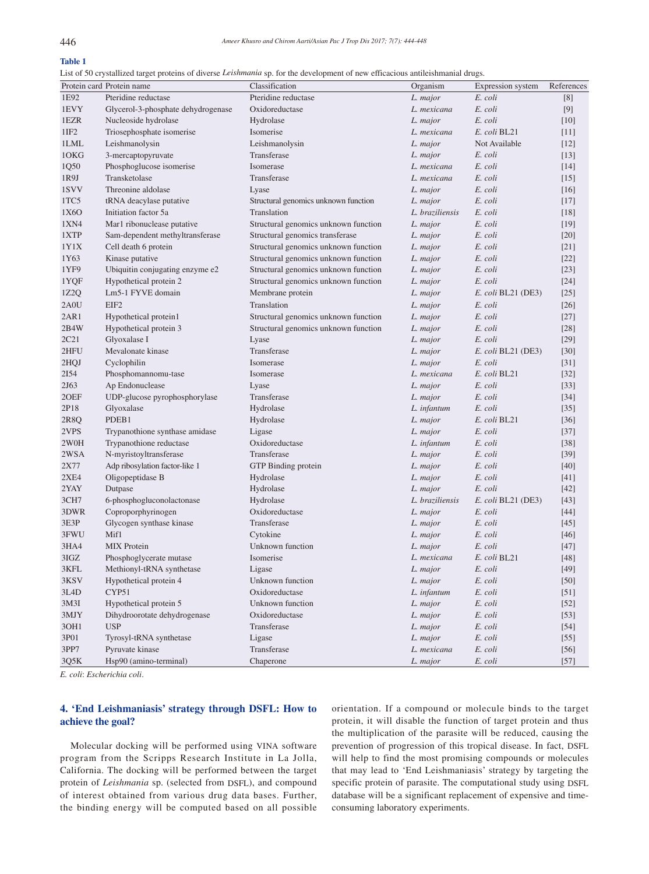# **Table 1**

List of 50 crystallized target proteins of diverse *Leishmania* sp. for the development of new efficacious antileishmanial drugs.

|                   | Protein card Protein name          | Classification                       | Organism        | Expression system    | References       |
|-------------------|------------------------------------|--------------------------------------|-----------------|----------------------|------------------|
| 1E92              | Pteridine reductase                | Pteridine reductase                  | L. major        | E. coli              | [8]              |
| 1EVY              | Glycerol-3-phosphate dehydrogenase | Oxidoreductase                       | L. mexicana     | E. coli              | [9]              |
| 1EZR              | Nucleoside hydrolase               | Hydrolase                            | L. major        | E. coli              | [10]             |
| 1IF2              | Triosephosphate isomerise          | Isomerise                            | L. mexicana     | E. coli BL21         | $[11]$           |
| 1LML              | Leishmanolysin                     | Leishmanolysin                       | L. major        | Not Available        | [12]             |
| 10KG              | 3-mercaptopyruvate                 | Transferase                          | L. major        | E. coli              | $[13]$           |
| 1Q50              | Phosphoglucose isomerise           | Isomerase                            | L. mexicana     | E. coli              | $[14]$           |
| 1R9J              | Transketolase                      | Transferase                          | L. mexicana     | E. coli              | $[15]$           |
| 1SVV              | Threonine aldolase                 | Lyase                                | L. major        | E. coli              | $[16]$           |
| 1TC5              | tRNA deacylase putative            | Structural genomics unknown function | L. major        | E. coli              | [17]             |
| 1X6O              | Initiation factor 5a               | Translation                          | L. braziliensis | E. coli              | $[18]$           |
| 1XN4              | Mar1 ribonuclease putative         | Structural genomics unknown function | L. major        | E. coli              | $[19]$           |
| 1XTP              | Sam-dependent methyltransferase    | Structural genomics transferase      | L. major        | E. coli              | $[20]$           |
| 1Y1X              | Cell death 6 protein               | Structural genomics unknown function | L. major        | E. coli              | $[21]$           |
| 1Y63              | Kinase putative                    | Structural genomics unknown function | L. major        | E. coli              | $[22]$           |
| 1YF9              | Ubiquitin conjugating enzyme e2    | Structural genomics unknown function | L. major        | E. coli              | $[23]$           |
| 1YQF              | Hypothetical protein 2             | Structural genomics unknown function | L. major        | E. coli              | $[24]$           |
| 1Z2Q              | Lm5-1 FYVE domain                  | Membrane protein                     | L. major        | E. coli BL21 (DE3)   | $[25]$           |
| 2A0U              | EIF <sub>2</sub>                   | Translation                          | L. major        | E. coli              | $[26]$           |
| 2AR1              | Hypothetical protein1              | Structural genomics unknown function | L. major        | E. coli              | $[27]$           |
| 2B4W              | Hypothetical protein 3             | Structural genomics unknown function |                 | E. coli              |                  |
| 2C21              | Glyoxalase I                       |                                      | L. major        | E. coli              | $[28]$<br>$[29]$ |
| 2HFU              | Mevalonate kinase                  | Lyase<br>Transferase                 | L. major        | E. coli BL21 (DE3)   |                  |
|                   |                                    |                                      | L. major        |                      | $[30]$           |
| 2HQJ              | Cyclophilin                        | Isomerase                            | L. major        | E. coli              | $[31]$           |
| 2154              | Phosphomannomu-tase                | Isomerase                            | L. mexicana     | E. coli BL21         | $[32]$           |
| 2J63              | Ap Endonuclease                    | Lyase                                | L. major        | E. coli              | $[33]$           |
| 20EF              | UDP-glucose pyrophosphorylase      | Transferase                          | L. major        | E. coli              | $[34]$           |
| 2P18              | Glyoxalase                         | Hydrolase                            | L. infantum     | E. coli              | $[35]$           |
| 2R8Q              | PDEB1                              | Hydrolase                            | L. major        | E. coli BL21         | $[36]$           |
| 2VPS              | Trypanothione synthase amidase     | Ligase                               | L. major        | E. coli              | $[37]$           |
| 2W0H              | Trypanothione reductase            | Oxidoreductase                       | L. infantum     | E. coli              | $[38]$           |
| 2WSA              | N-myristoyltransferase             | Transferase                          | L. major        | E. coli              | $[39]$           |
| 2X77              | Adp ribosylation factor-like 1     | GTP Binding protein                  | L. major        | E. coli              | $[40]$           |
| <b>2XE4</b>       | Oligopeptidase B                   | Hydrolase                            | L. major        | E. coli              | $[41]$           |
| 2YAY              | Dutpase                            | Hydrolase                            | L. major        | E. coli              | $[42]$           |
| 3CH7              | 6-phosphogluconolactonase          | Hydrolase                            | L. braziliensis | $E.$ coli BL21 (DE3) | $[43]$           |
| 3DWR              | Coproporphyrinogen                 | Oxidoreductase                       | L. major        | E. coli              | $[44]$           |
| 3E3P              | Glycogen synthase kinase           | Transferase                          | L. major        | E. coli              | $[45]$           |
| 3FWU              | Mif1                               | Cytokine                             | L. major        | E. coli              | $[46]$           |
| 3HA4              | <b>MIX</b> Protein                 | Unknown function                     | L. major        | E. coli              | $[47]$           |
| 3IGZ              | Phosphoglycerate mutase            | Isomerise                            | L. mexicana     | E. coli BL21         | $[48]$           |
| 3KFL              | Methionyl-tRNA synthetase          | Ligase                               | L. major        | E. coli              | $[49]$           |
| 3KSV              | Hypothetical protein 4             | Unknown function                     | L. major        | E. coli              | $[50]$           |
| 3L4D              | CYP51                              | Oxidoreductase                       | L. infantum     | E. coli              | $[51]$           |
| 3M <sub>3</sub> I | Hypothetical protein 5             | Unknown function                     | L. major        | E. coli              | $[52]$           |
| 3MJY              | Dihydroorotate dehydrogenase       | Oxidoreductase                       | L. major        | E. coli              | $[53]$           |
| 3OH1              | <b>USP</b>                         | Transferase                          | L. major        | E. coli              | $[54]$           |
| 3P01              | Tyrosyl-tRNA synthetase            | Ligase                               | L. major        | E. coli              | $[55]$           |
| 3PP7              | Pyruvate kinase                    | Transferase                          | L. mexicana     | E. coli              | $[56]$           |
| 3Q5K              | Hsp90 (amino-terminal)             | Chaperone                            | L. major        | E. coli              | $[57]$           |

*E. coli*: *Escherichia coli*.

## **4. 'End Leishmaniasis' strategy through DSFL: How to achieve the goal?**

 Molecular docking will be performed using VINA software program from the Scripps Research Institute in La Jolla, California. The docking will be performed between the target protein of *Leishmania* sp. (selected from DSFL), and compound of interest obtained from various drug data bases. Further, the binding energy will be computed based on all possible orientation. If a compound or molecule binds to the target protein, it will disable the function of target protein and thus the multiplication of the parasite will be reduced, causing the prevention of progression of this tropical disease. In fact, DSFL will help to find the most promising compounds or molecules that may lead to 'End Leishmaniasis' strategy by targeting the specific protein of parasite. The computational study using DSFL database will be a significant replacement of expensive and timeconsuming laboratory experiments.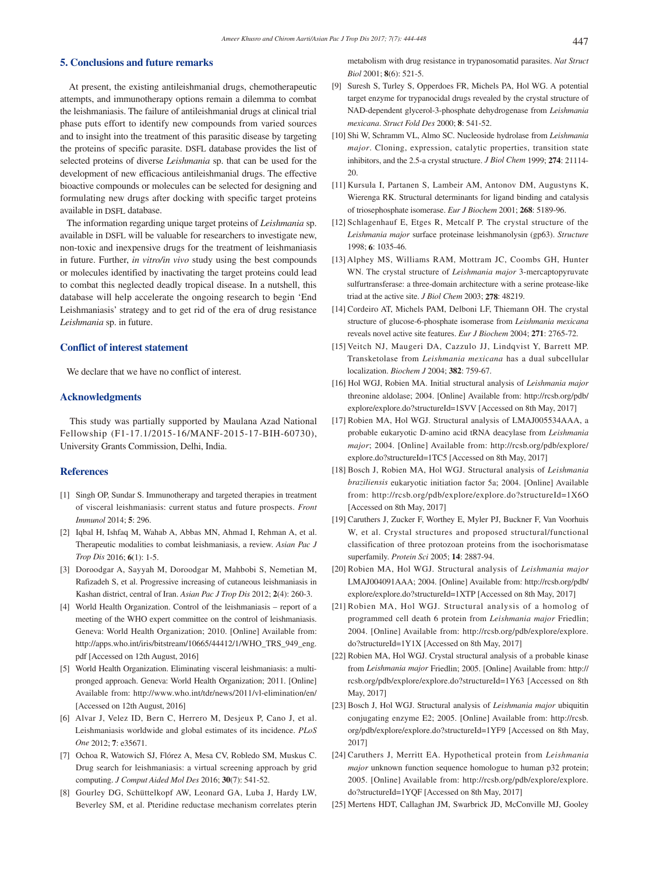## **5. Conclusions and future remarks**

 At present, the existing antileishmanial drugs, chemotherapeutic attempts, and immunotherapy options remain a dilemma to combat the leishmaniasis. The failure of antileishmanial drugs at clinical trial phase puts effort to identify new compounds from varied sources and to insight into the treatment of this parasitic disease by targeting the proteins of specific parasite. DSFL database provides the list of selected proteins of diverse *Leishmania* sp. that can be used for the development of new efficacious antileishmanial drugs. The effective bioactive compounds or molecules can be selected for designing and formulating new drugs after docking with specific target proteins available in DSFL database.

 The information regarding unique target proteins of *Leishmania* sp. available in DSFL will be valuable for researchers to investigate new, non-toxic and inexpensive drugs for the treatment of leishmaniasis in future. Further, *in vitro/in vivo* study using the best compounds or molecules identified by inactivating the target proteins could lead to combat this neglected deadly tropical disease. In a nutshell, this database will help accelerate the ongoing research to begin 'End Leishmaniasis' strategy and to get rid of the era of drug resistance *Leishmania* sp. in future.

## **Conflict of interest statement**

We declare that we have no conflict of interest.

### **Acknowledgments**

 This study was partially supported by Maulana Azad National Fellowship (F1-17.1/2015-16/MANF-2015-17-BIH-60730), University Grants Commission, Delhi, India.

### **References**

- [1] Singh OP, Sundar S. Immunotherapy and targeted therapies in treatment of visceral leishmaniasis: current status and future prospects. *Front Immunol* 2014; **5**: 296.
- [2] Iqbal H, Ishfaq M, Wahab A, Abbas MN, Ahmad I, Rehman A, et al. Therapeutic modalities to combat leishmaniasis, a review. *Asian Pac J Trop Dis* 2016; **6**(1): 1-5.
- [3] Doroodgar A, Sayyah M, Doroodgar M, Mahbobi S, Nemetian M, Rafizadeh S, et al. Progressive increasing of cutaneous leishmaniasis in Kashan district, central of Iran. *Asian Pac J Trop Dis* 2012; **2**(4): 260-3.
- [4] World Health Organization. Control of the leishmaniasis report of a meeting of the WHO expert committee on the control of leishmaniasis. Geneva: World Health Organization; 2010. [Online] Available from: http://apps.who.int/iris/bitstream/10665/44412/1/WHO\_TRS\_949\_eng. pdf [Accessed on 12th August, 2016]
- [5] World Health Organization. Eliminating visceral leishmaniasis: a multipronged approach. Geneva: World Health Organization; 2011. [Online] Available from: http://www.who.int/tdr/news/2011/vl-elimination/en/ [Accessed on 12th August, 2016]
- [6] Alvar J, Velez ID, Bern C, Herrero M, Desjeux P, Cano J, et al. Leishmaniasis worldwide and global estimates of its incidence. *PLoS One* 2012; **7**: e35671.
- [7] Ochoa R, Watowich SJ, Flórez A, Mesa CV, Robledo SM, Muskus C. Drug search for leishmaniasis: a virtual screening approach by grid computing. *J Comput Aided Mol Des* 2016; **30**(7): 541-52.
- [8] Gourley DG, Schüttelkopf AW, Leonard GA, Luba J, Hardy LW, Beverley SM, et al. Pteridine reductase mechanism correlates pterin

metabolism with drug resistance in trypanosomatid parasites. *Nat Struct Biol* 2001; **8**(6): 521-5.

- [9] Suresh S, Turley S, Opperdoes FR, Michels PA, Hol WG. A potential target enzyme for trypanocidal drugs revealed by the crystal structure of NAD-dependent glycerol-3-phosphate dehydrogenase from *Leishmania mexicana*. *Struct Fold Des* 2000; **8**: 541-52.
- [10] Shi W, Schramm VL, Almo SC. Nucleoside hydrolase from *Leishmania major*. Cloning, expression, catalytic properties, transition state inhibitors, and the 2.5-a crystal structure. *J Biol Chem* 1999; **274**: 21114- 20.
- [11] Kursula I, Partanen S, Lambeir AM, Antonov DM, Augustyns K, Wierenga RK. Structural determinants for ligand binding and catalysis of triosephosphate isomerase. *Eur J Biochem* 2001; **268**: 5189-96.
- [12] Schlagenhauf E, Etges R, Metcalf P. The crystal structure of the *Leishmania major* surface proteinase leishmanolysin (gp63). *Structure*  1998; **6**: 1035-46.
- [13] Alphey MS, Williams RAM, Mottram JC, Coombs GH, Hunter WN. The crystal structure of *Leishmania major* 3-mercaptopyruvate sulfurtransferase: a three-domain architecture with a serine protease-like triad at the active site. *J Biol Chem* 2003; **278**: 48219.
- [14] Cordeiro AT, Michels PAM, Delboni LF, Thiemann OH. The crystal structure of glucose-6-phosphate isomerase from *Leishmania mexicana* reveals novel active site features. *Eur J Biochem* 2004; **271**: 2765-72.
- [15] Veitch NJ, Maugeri DA, Cazzulo JJ, Lindqvist Y, Barrett MP. Transketolase from *Leishmania mexicana* has a dual subcellular localization. *Biochem J* 2004; **382**: 759-67.
- [16] Hol WGJ, Robien MA. Initial structural analysis of *Leishmania major* threonine aldolase; 2004. [Online] Available from: http://rcsb.org/pdb/ explore/explore.do?structureId=1SVV [Accessed on 8th May, 2017]
- [17] Robien MA, Hol WGJ. Structural analysis of LMAJ005534AAA, a probable eukaryotic D-amino acid tRNA deacylase from *Leishmania major*; 2004. [Online] Available from: http://rcsb.org/pdb/explore/ explore.do?structureId=1TC5 [Accessed on 8th May, 2017]
- [18] Bosch J, Robien MA, Hol WGJ. Structural analysis of *Leishmania braziliensis* eukaryotic initiation factor 5a; 2004. [Online] Available from: http://rcsb.org/pdb/explore/explore.do?structureId=1X6O [Accessed on 8th May, 2017]
- [19] Caruthers J, Zucker F, Worthey E, Myler PJ, Buckner F, Van Voorhuis W, et al. Crystal structures and proposed structural/functional classification of three protozoan proteins from the isochorismatase superfamily. *Protein Sci* 2005; **14**: 2887-94.
- [20] Robien MA, Hol WGJ. Structural analysis of *Leishmania major* LMAJ004091AAA; 2004. [Online] Available from: http://rcsb.org/pdb/ explore/explore.do?structureId=1XTP [Accessed on 8th May, 2017]
- [21] Robien MA, Hol WGJ. Structural analysis of a homolog of programmed cell death 6 protein from *Leishmania major* Friedlin; 2004. [Online] Available from: http://rcsb.org/pdb/explore/explore. do?structureId=1Y1X [Accessed on 8th May, 2017]
- [22] Robien MA, Hol WGJ. Crystal structural analysis of a probable kinase from *Leishmania major* Friedlin; 2005. [Online] Available from: http:// rcsb.org/pdb/explore/explore.do?structureId=1Y63 [Accessed on 8th May, 2017]
- [23] Bosch J, Hol WGJ. Structural analysis of *Leishmania major* ubiquitin conjugating enzyme E2; 2005. [Online] Available from: http://rcsb. org/pdb/explore/explore.do?structureId=1YF9 [Accessed on 8th May, 2017]
- [24] Caruthers J, Merritt EA. Hypothetical protein from *Leishmania major* unknown function sequence homologue to human p32 protein; 2005. [Online] Available from: http://rcsb.org/pdb/explore/explore. do?structureId=1YQF [Accessed on 8th May, 2017]
- [25] Mertens HDT, Callaghan JM, Swarbrick JD, McConville MJ, Gooley